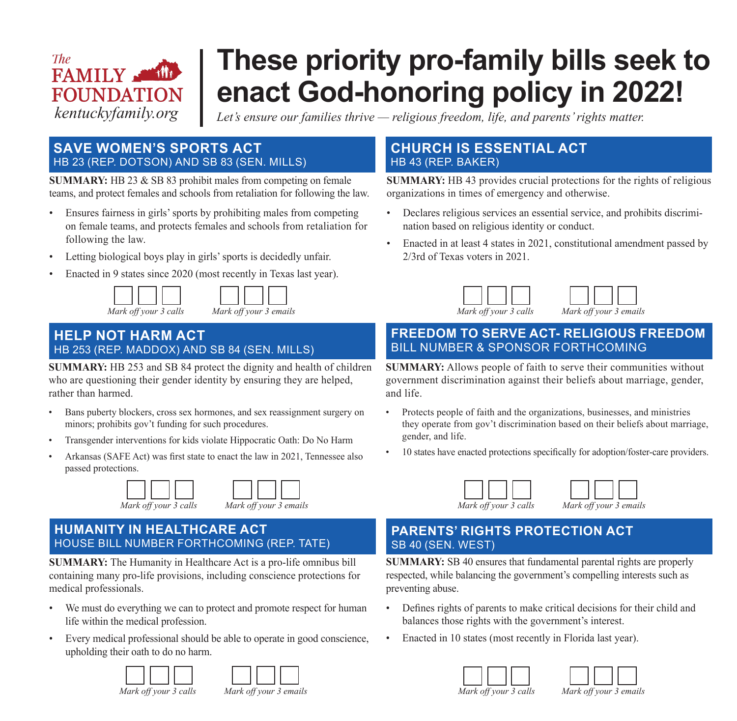### *The* FAMILY SEN **FOUNDATION** *kentuckyfamily.org*

## **These priority pro-family bills seek to enact God-honoring policy in 2022!**

*Let's ensure our families thrive — religious freedom, life, and parents' rights matter.*

### **SAVE WOMEN'S SPORTS ACT** HB 23 (REP. DOTSON) AND SB 83 (SEN. MILLS)

**SUMMARY:** HB 23 & SB 83 prohibit males from competing on female teams, and protect females and schools from retaliation for following the law.

- Ensures fairness in girls' sports by prohibiting males from competing on female teams, and protects females and schools from retaliation for following the law.
- Letting biological boys play in girls' sports is decidedly unfair.
- Enacted in 9 states since 2020 (most recently in Texas last year).



| Mark off your 3 calls | Mark off your 3 emails |
|-----------------------|------------------------|

 $\neg \Box \Box$ 

Г

### **HELP NOT HARM ACT** HB 253 (REP. MADDOX) AND SB 84 (SEN. MILLS)

**SUMMARY:** HB 253 and SB 84 protect the dignity and health of children who are questioning their gender identity by ensuring they are helped, rather than harmed.

- Bans puberty blockers, cross sex hormones, and sex reassignment surgery on minors; prohibits gov't funding for such procedures.
- Transgender interventions for kids violate Hippocratic Oath: Do No Harm
- Arkansas (SAFE Act) was first state to enact the law in 2021, Tennessee also passed protections.





### **HUMANITY IN HEALTHCARE ACT** HOUSE BILL NUMBER FORTHCOMING (REP. TATE)

**SUMMARY:** The Humanity in Healthcare Act is a pro-life omnibus bill containing many pro-life provisions, including conscience protections for medical professionals.

- We must do everything we can to protect and promote respect for human life within the medical profession.
- Every medical professional should be able to operate in good conscience, upholding their oath to do no harm.





### **CHURCH IS ESSENTIAL ACT** HB 43 (REP. BAKER)

**SUMMARY:** HB 43 provides crucial protections for the rights of religious organizations in times of emergency and otherwise.

- Declares religious services an essential service, and prohibits discrimination based on religious identity or conduct.
- Enacted in at least 4 states in 2021, constitutional amendment passed by 2/3rd of Texas voters in 2021.



### **FREEDOM TO SERVE ACT- RELIGIOUS FREEDOM** BILL NUMBER & SPONSOR FORTHCOMING

**SUMMARY:** Allows people of faith to serve their communities without government discrimination against their beliefs about marriage, gender, and life.

- Protects people of faith and the organizations, businesses, and ministries they operate from gov't discrimination based on their beliefs about marriage, gender, and life.
- 10 states have enacted protections specifically for adoption/foster-care providers.



*Mark off your 3 calls Mark off your 3 emails*

### **PARENTS' RIGHTS PROTECTION ACT** SB 40 (SEN. WEST)

**SUMMARY:** SB 40 ensures that fundamental parental rights are properly respected, while balancing the government's compelling interests such as preventing abuse.

- Defines rights of parents to make critical decisions for their child and balances those rights with the government's interest.
- Enacted in 10 states (most recently in Florida last year).





*Mark off your 3 calls Mark off your 3 emails*